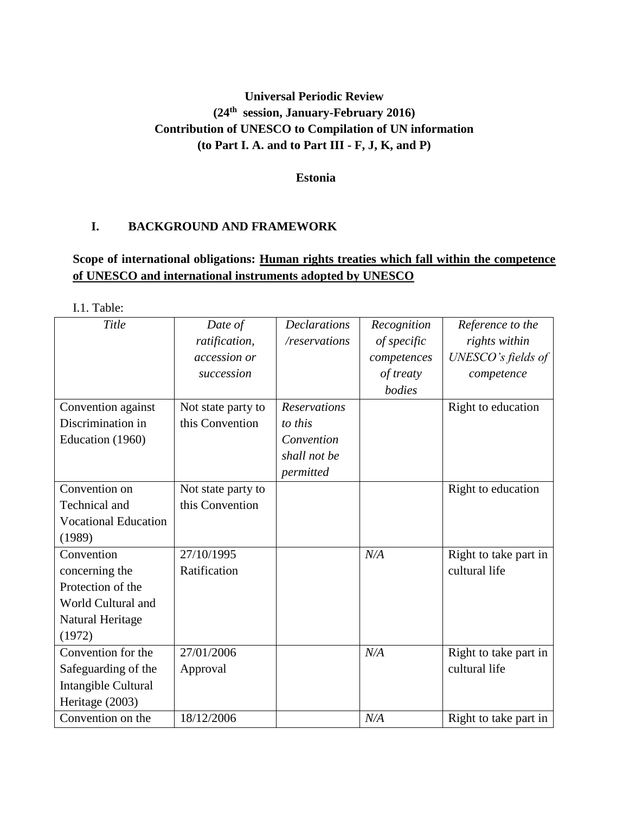# **Universal Periodic Review (24th session, January-February 2016) Contribution of UNESCO to Compilation of UN information (to Part I. A. and to Part III - F, J, K, and P)**

**Estonia**

### **I. BACKGROUND AND FRAMEWORK**

## **Scope of international obligations: Human rights treaties which fall within the competence of UNESCO and international instruments adopted by UNESCO**

I.1. Table:

| Title                       | Date of            | <b>Declarations</b> | Recognition | Reference to the      |
|-----------------------------|--------------------|---------------------|-------------|-----------------------|
|                             | ratification,      | /reservations       | of specific | rights within         |
|                             | accession or       |                     | competences | UNESCO's fields of    |
|                             | succession         |                     | of treaty   | competence            |
|                             |                    |                     | bodies      |                       |
| Convention against          | Not state party to | <b>Reservations</b> |             | Right to education    |
| Discrimination in           | this Convention    | to this             |             |                       |
| Education (1960)            |                    | Convention          |             |                       |
|                             |                    | shall not be        |             |                       |
|                             |                    | permitted           |             |                       |
| Convention on               | Not state party to |                     |             | Right to education    |
| Technical and               | this Convention    |                     |             |                       |
| <b>Vocational Education</b> |                    |                     |             |                       |
| (1989)                      |                    |                     |             |                       |
| Convention                  | 27/10/1995         |                     | N/A         | Right to take part in |
| concerning the              | Ratification       |                     |             | cultural life         |
| Protection of the           |                    |                     |             |                       |
| World Cultural and          |                    |                     |             |                       |
| Natural Heritage            |                    |                     |             |                       |
| (1972)                      |                    |                     |             |                       |
| Convention for the          | 27/01/2006         |                     | N/A         | Right to take part in |
| Safeguarding of the         | Approval           |                     |             | cultural life         |
| Intangible Cultural         |                    |                     |             |                       |
| Heritage (2003)             |                    |                     |             |                       |
| Convention on the           | 18/12/2006         |                     | N/A         | Right to take part in |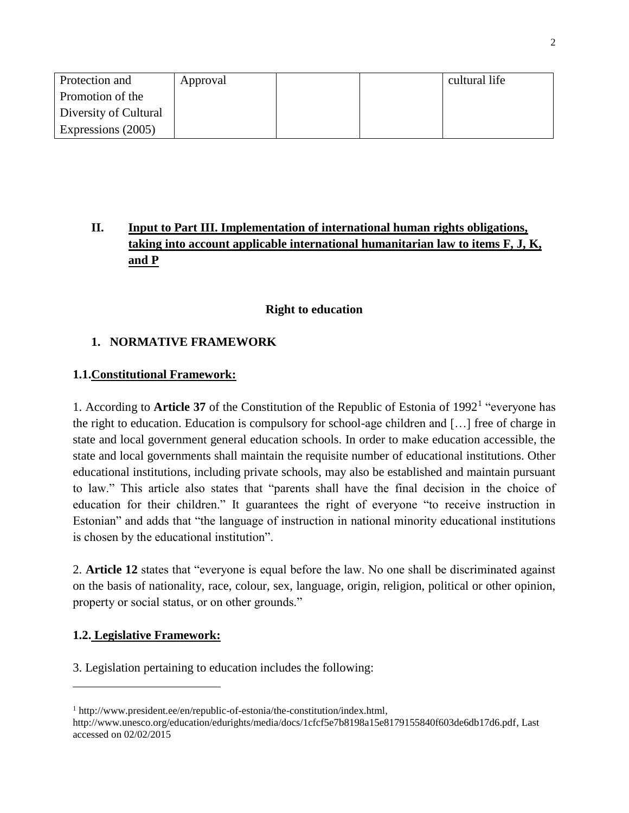| Protection and        | Approval |  | cultural life |
|-----------------------|----------|--|---------------|
| Promotion of the      |          |  |               |
| Diversity of Cultural |          |  |               |
| Expressions (2005)    |          |  |               |

# **II. Input to Part III. Implementation of international human rights obligations, taking into account applicable international humanitarian law to items F, J, K, and P**

#### **Right to education**

### **1. NORMATIVE FRAMEWORK**

#### **1.1.Constitutional Framework:**

1. According to **Article 37** of the Constitution of the Republic of Estonia of 1992<sup>1</sup> "everyone has the right to education. Education is compulsory for school-age children and […] free of charge in state and local government general education schools. In order to make education accessible, the state and local governments shall maintain the requisite number of educational institutions. Other educational institutions, including private schools, may also be established and maintain pursuant to law." This article also states that "parents shall have the final decision in the choice of education for their children." It guarantees the right of everyone "to receive instruction in Estonian" and adds that "the language of instruction in national minority educational institutions is chosen by the educational institution".

2. **Article 12** states that "everyone is equal before the law. No one shall be discriminated against on the basis of nationality, race, colour, sex, language, origin, religion, political or other opinion, property or social status, or on other grounds."

### **1.2. Legislative Framework:**

 $\overline{\phantom{a}}$ 

3. Legislation pertaining to education includes the following:

<sup>1</sup> [http://www.president.ee/en/republic-of-estonia/the-constitution/index.html,](http://www.president.ee/en/republic-of-estonia/the-constitution/index.html) [http://www.unesco.org/education/edurights/media/docs/1cfcf5e7b8198a15e8179155840f603de6db17d6.pdf,](http://www.unesco.org/education/edurights/media/docs/1cfcf5e7b8198a15e8179155840f603de6db17d6.pdf) Last accessed on 02/02/2015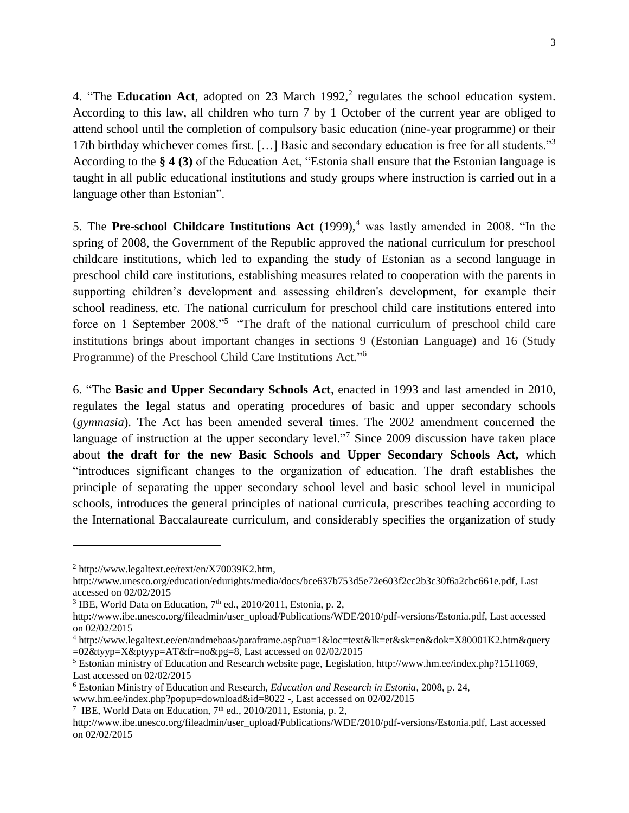4. "The **Education Act**, adopted on 23 March  $1992$ , regulates the school education system. According to this law, all children who turn 7 by 1 October of the current year are obliged to attend school until the completion of compulsory basic education (nine-year programme) or their 17th birthday whichever comes first. [...] Basic and secondary education is free for all students."<sup>3</sup> According to the **§ 4 (3)** of the Education Act, "Estonia shall ensure that the Estonian language is taught in all public educational institutions and study groups where instruction is carried out in a language other than Estonian".

5. The **Pre-school Childcare Institutions Act** (1999),<sup>4</sup> was lastly amended in 2008. "In the spring of 2008, the Government of the Republic approved the national curriculum for preschool childcare institutions, which led to expanding the study of Estonian as a second language in preschool child care institutions, establishing measures related to cooperation with the parents in supporting children's development and assessing children's development, for example their school readiness, etc. The national curriculum for preschool child care institutions entered into force on 1 September 2008."<sup>5</sup> "The draft of the national curriculum of preschool child care institutions brings about important changes in sections 9 (Estonian Language) and 16 (Study Programme) of the Preschool Child Care Institutions Act*.*" 6

6. "The **Basic and Upper Secondary Schools Act**, enacted in 1993 and last amended in 2010, regulates the legal status and operating procedures of basic and upper secondary schools (*gymnasia*). The Act has been amended several times. The 2002 amendment concerned the language of instruction at the upper secondary level."<sup>7</sup> Since 2009 discussion have taken place about **the draft for the new Basic Schools and Upper Secondary Schools Act,** which "introduces significant changes to the organization of education. The draft establishes the principle of separating the upper secondary school level and basic school level in municipal schools, introduces the general principles of national curricula, prescribes teaching according to the International Baccalaureate curriculum, and considerably specifies the organization of study

<sup>2</sup> [http://www.legaltext.ee/text/en/X70039K2.htm,](http://www.legaltext.ee/text/en/X70039K2.htm)

[http://www.unesco.org/education/edurights/media/docs/bce637b753d5e72e603f2cc2b3c30f6a2cbc661e.pdf,](http://www.unesco.org/education/edurights/media/docs/bce637b753d5e72e603f2cc2b3c30f6a2cbc661e.pdf) Last accessed on 02/02/2015

<sup>&</sup>lt;sup>3</sup> IBE, World Data on Education,  $7<sup>th</sup>$  ed., 2010/2011, Estonia, p. 2,

[http://www.ibe.unesco.org/fileadmin/user\\_upload/Publications/WDE/2010/pdf-versions/Estonia.pdf,](http://www.ibe.unesco.org/fileadmin/user_upload/Publications/WDE/2010/pdf-versions/Estonia.pdf) Last accessed on 02/02/2015

<sup>4</sup> http://www.legaltext.ee/en/andmebaas/paraframe.asp?ua=1&loc=text&lk=et&sk=en&dok=X80001K2.htm&query =02&tyyp=X&ptyyp=AT&fr=no&pg=8, Last accessed on 02/02/2015

<sup>5</sup> Estonian ministry of Education and Research website page, Legislation, [http://www.hm.ee/index.php?1511069,](http://www.hm.ee/index.php?1511069) Last accessed on 02/02/2015

<sup>6</sup> Estonian Ministry of Education and Research, *Education and Research in Estonia*, 2008, p. 24,

www.hm.ee/index.php?popup=download&id=8022 -, Last accessed on 02/02/2015

<sup>&</sup>lt;sup>7</sup> IBE, World Data on Education,  $7<sup>th</sup>$  ed., 2010/2011, Estonia, p. 2,

[http://www.ibe.unesco.org/fileadmin/user\\_upload/Publications/WDE/2010/pdf-versions/Estonia.pdf,](http://www.ibe.unesco.org/fileadmin/user_upload/Publications/WDE/2010/pdf-versions/Estonia.pdf) Last accessed on 02/02/2015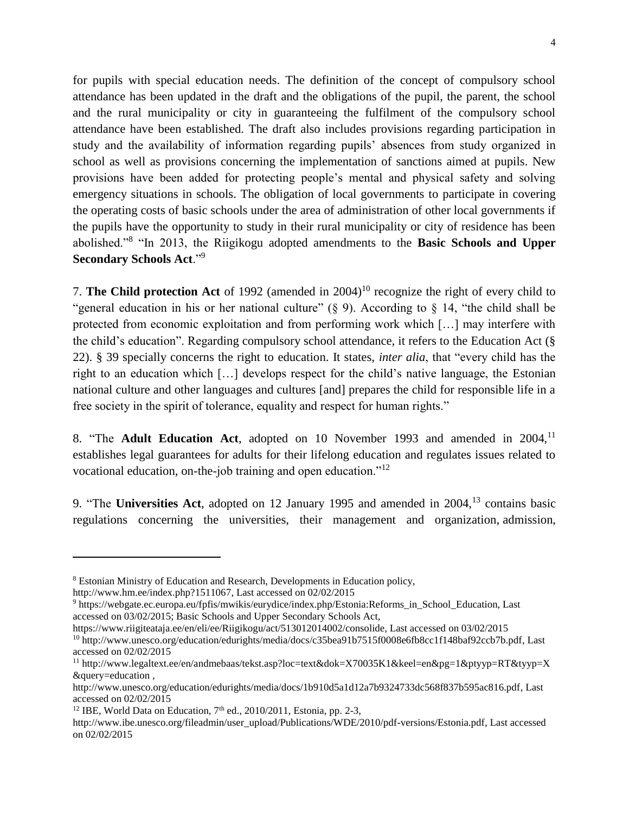for pupils with special education needs. The definition of the concept of compulsory school attendance has been updated in the draft and the obligations of the pupil, the parent, the school and the rural municipality or city in guaranteeing the fulfilment of the compulsory school attendance have been established. The draft also includes provisions regarding participation in study and the availability of information regarding pupils' absences from study organized in school as well as provisions concerning the implementation of sanctions aimed at pupils. New provisions have been added for protecting people's mental and physical safety and solving emergency situations in schools. The obligation of local governments to participate in covering the operating costs of basic schools under the area of administration of other local governments if the pupils have the opportunity to study in their rural municipality or city of residence has been abolished."<sup>8</sup> "In 2013, the Riigikogu adopted amendments to the **Basic Schools and Upper Secondary Schools Act**."<sup>9</sup>

7. **The Child protection Act** of 1992 (amended in 2004)<sup>10</sup> recognize the right of every child to "general education in his or her national culture"  $(\S$  9). According to  $\S$  14, "the child shall be protected from economic exploitation and from performing work which […] may interfere with the child's education". Regarding compulsory school attendance, it refers to the Education Act (§ 22). § 39 specially concerns the right to education. It states, *inter alia*, that "every child has the right to an education which […] develops respect for the child's native language, the Estonian national culture and other languages and cultures [and] prepares the child for responsible life in a free society in the spirit of tolerance, equality and respect for human rights."

8. "The **Adult Education Act**, adopted on 10 November 1993 and amended in 2004,<sup>11</sup> establishes legal guarantees for adults for their lifelong education and regulates issues related to vocational education, on-the-job training and open education."<sup>12</sup>

9. "The **Universities Act**, adopted on 12 January 1995 and amended in 2004,<sup>13</sup> contains basic regulations concerning the universities, their management and organization, admission,

l

<sup>12</sup> IBE, World Data on Education,  $7<sup>th</sup>$  ed., 2010/2011, Estonia, pp. 2-3,

<sup>8</sup> Estonian Ministry of Education and Research, Developments in Education policy,

[http://www.hm.ee/index.php?1511067,](http://www.hm.ee/index.php?1511067) Last accessed on 02/02/2015

<sup>9</sup> https://webgate.ec.europa.eu/fpfis/mwikis/eurydice/index.php/Estonia:Reforms\_in\_School\_Education, Last accessed on 03/02/2015; Basic Schools and Upper Secondary Schools Act,

https://www.riigiteataja.ee/en/eli/ee/Riigikogu/act/513012014002/consolide, Last accessed on 03/02/2015 <sup>10</sup> [http://www.unesco.org/education/edurights/media/docs/c35bea91b7515f0008e6fb8cc1f148baf92ccb7b.pdf,](http://www.unesco.org/education/edurights/media/docs/c35bea91b7515f0008e6fb8cc1f148baf92ccb7b.pdf) Last accessed on 02/02/2015

<sup>11</sup> [http://www.legaltext.ee/en/andmebaas/tekst.asp?loc=text&dok=X70035K1&keel=en&pg=1&ptyyp=RT&tyyp=X](http://www.legaltext.ee/en/andmebaas/tekst.asp?loc=text&dok=X70035K1&keel=en&pg=1&ptyyp=RT&tyyp=X&query=education) [&query=education](http://www.legaltext.ee/en/andmebaas/tekst.asp?loc=text&dok=X70035K1&keel=en&pg=1&ptyyp=RT&tyyp=X&query=education) ,

[http://www.unesco.org/education/edurights/media/docs/1b910d5a1d12a7b9324733dc568f837b595ac816.pdf,](http://www.unesco.org/education/edurights/media/docs/1b910d5a1d12a7b9324733dc568f837b595ac816.pdf) Last accessed on 02/02/2015

[http://www.ibe.unesco.org/fileadmin/user\\_upload/Publications/WDE/2010/pdf-versions/Estonia.pdf,](http://www.ibe.unesco.org/fileadmin/user_upload/Publications/WDE/2010/pdf-versions/Estonia.pdf) Last accessed on 02/02/2015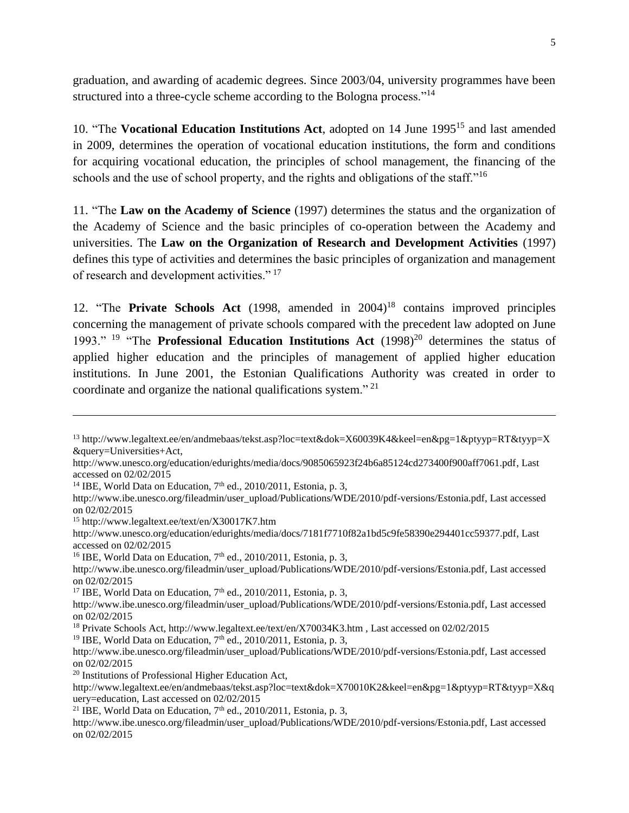graduation, and awarding of academic degrees. Since 2003/04, university programmes have been structured into a three-cycle scheme according to the Bologna process."<sup>14</sup>

10. "The **Vocational Education Institutions Act**, adopted on 14 June 1995<sup>15</sup> and last amended in 2009, determines the operation of vocational education institutions, the form and conditions for acquiring vocational education, the principles of school management, the financing of the schools and the use of school property, and the rights and obligations of the staff."<sup>16</sup>

11. "The **Law on the Academy of Science** (1997) determines the status and the organization of the Academy of Science and the basic principles of co-operation between the Academy and universities. The **Law on the Organization of Research and Development Activities** (1997) defines this type of activities and determines the basic principles of organization and management of research and development activities."<sup>17</sup>

12. "The **Private Schools Act** (1998, amended in 2004)<sup>18</sup> contains improved principles concerning the management of private schools compared with the precedent law adopted on June 1993." <sup>19</sup> "The **Professional Education Institutions Act** (1998)<sup>20</sup> determines the status of applied higher education and the principles of management of applied higher education institutions. In June 2001, the Estonian Qualifications Authority was created in order to coordinate and organize the national qualifications system." <sup>21</sup>

<sup>15</sup> <http://www.legaltext.ee/text/en/X30017K7.htm>

 $\overline{a}$ 

[http://www.unesco.org/education/edurights/media/docs/7181f7710f82a1bd5c9fe58390e294401cc59377.pdf,](http://www.unesco.org/education/edurights/media/docs/7181f7710f82a1bd5c9fe58390e294401cc59377.pdf) Last accessed on 02/02/2015

<sup>16</sup> IBE, World Data on Education,  $7<sup>th</sup>$  ed.,  $2010/2011$ , Estonia, p. 3,

<sup>17</sup> IBE, World Data on Education,  $7<sup>th</sup>$  ed., 2010/2011, Estonia, p. 3,

[http://www.ibe.unesco.org/fileadmin/user\\_upload/Publications/WDE/2010/pdf-versions/Estonia.pdf,](http://www.ibe.unesco.org/fileadmin/user_upload/Publications/WDE/2010/pdf-versions/Estonia.pdf) Last accessed on 02/02/2015

<sup>20</sup> Institutions of Professional Higher Education Act,

<sup>13</sup> [http://www.legaltext.ee/en/andmebaas/tekst.asp?loc=text&dok=X60039K4&keel=en&pg=1&ptyyp=RT&tyyp=X](http://www.legaltext.ee/en/andmebaas/tekst.asp?loc=text&dok=X60039K4&keel=en&pg=1&ptyyp=RT&tyyp=X&query=Universities+Act) [&query=Universities+Act,](http://www.legaltext.ee/en/andmebaas/tekst.asp?loc=text&dok=X60039K4&keel=en&pg=1&ptyyp=RT&tyyp=X&query=Universities+Act) 

[http://www.unesco.org/education/edurights/media/docs/9085065923f24b6a85124cd273400f900aff7061.pdf,](http://www.unesco.org/education/edurights/media/docs/9085065923f24b6a85124cd273400f900aff7061.pdf) Last accessed on 02/02/2015

<sup>&</sup>lt;sup>14</sup> IBE, World Data on Education,  $7<sup>th</sup>$  ed., 2010/2011, Estonia, p. 3,

[http://www.ibe.unesco.org/fileadmin/user\\_upload/Publications/WDE/2010/pdf-versions/Estonia.pdf,](http://www.ibe.unesco.org/fileadmin/user_upload/Publications/WDE/2010/pdf-versions/Estonia.pdf) Last accessed on 02/02/2015

[http://www.ibe.unesco.org/fileadmin/user\\_upload/Publications/WDE/2010/pdf-versions/Estonia.pdf,](http://www.ibe.unesco.org/fileadmin/user_upload/Publications/WDE/2010/pdf-versions/Estonia.pdf) Last accessed on 02/02/2015

[http://www.ibe.unesco.org/fileadmin/user\\_upload/Publications/WDE/2010/pdf-versions/Estonia.pdf,](http://www.ibe.unesco.org/fileadmin/user_upload/Publications/WDE/2010/pdf-versions/Estonia.pdf) Last accessed on 02/02/2015

<sup>18</sup> Private Schools Act,<http://www.legaltext.ee/text/en/X70034K3.htm> , Last accessed on 02/02/2015

<sup>&</sup>lt;sup>19</sup> IBE, World Data on Education, 7<sup>th</sup> ed., 2010/2011, Estonia, p. 3,

[http://www.legaltext.ee/en/andmebaas/tekst.asp?loc=text&dok=X70010K2&keel=en&pg=1&ptyyp=RT&tyyp=X&q](http://www.legaltext.ee/en/andmebaas/tekst.asp?loc=text&dok=X70010K2&keel=en&pg=1&ptyyp=RT&tyyp=X&query=education) [uery=education,](http://www.legaltext.ee/en/andmebaas/tekst.asp?loc=text&dok=X70010K2&keel=en&pg=1&ptyyp=RT&tyyp=X&query=education) Last accessed on 02/02/2015

<sup>&</sup>lt;sup>21</sup> IBE, World Data on Education,  $7<sup>th</sup>$  ed., 2010/2011, Estonia, p. 3,

[http://www.ibe.unesco.org/fileadmin/user\\_upload/Publications/WDE/2010/pdf-versions/Estonia.pdf,](http://www.ibe.unesco.org/fileadmin/user_upload/Publications/WDE/2010/pdf-versions/Estonia.pdf) Last accessed on 02/02/2015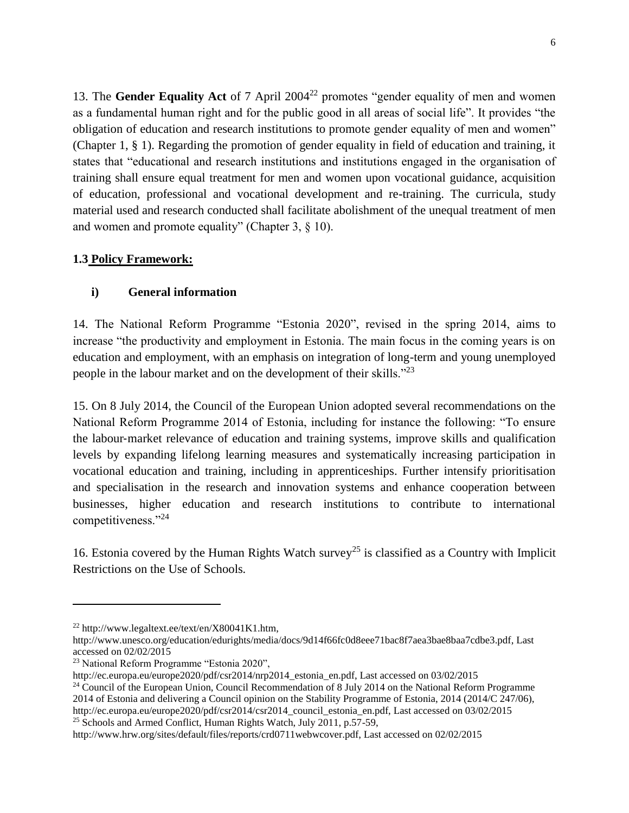13. The **Gender Equality Act** of 7 April 2004<sup>22</sup> promotes "gender equality of men and women as a fundamental human right and for the public good in all areas of social life". It provides "the obligation of education and research institutions to promote gender equality of men and women" (Chapter 1, § 1). Regarding the promotion of gender equality in field of education and training, it states that "educational and research institutions and institutions engaged in the organisation of training shall ensure equal treatment for men and women upon vocational guidance, acquisition of education, professional and vocational development and re-training. The curricula, study material used and research conducted shall facilitate abolishment of the unequal treatment of men and women and promote equality" (Chapter 3, § 10).

#### **1.3 Policy Framework:**

#### **i) General information**

14. The National Reform Programme "Estonia 2020", revised in the spring 2014, aims to increase "the productivity and employment in Estonia. The main focus in the coming years is on education and employment, with an emphasis on integration of long-term and young unemployed people in the labour market and on the development of their skills."<sup>23</sup>

15. On 8 July 2014, the Council of the European Union adopted several recommendations on the National Reform Programme 2014 of Estonia, including for instance the following: "To ensure the labour‐market relevance of education and training systems, improve skills and qualification levels by expanding lifelong learning measures and systematically increasing participation in vocational education and training, including in apprenticeships. Further intensify prioritisation and specialisation in the research and innovation systems and enhance cooperation between businesses, higher education and research institutions to contribute to international competitiveness."<sup>24</sup>

16. Estonia covered by the Human Rights Watch survey<sup>25</sup> is classified as a Country with Implicit Restrictions on the Use of Schools*.*

 $^{22}$  [http://www.legaltext.ee/text/en/X80041K1.htm,](http://www.legaltext.ee/text/en/X80041K1.htm)

[http://www.unesco.org/education/edurights/media/docs/9d14f66fc0d8eee71bac8f7aea3bae8baa7cdbe3.pdf,](http://www.unesco.org/education/edurights/media/docs/9d14f66fc0d8eee71bac8f7aea3bae8baa7cdbe3.pdf) Last accessed on 02/02/2015

<sup>23</sup> National Reform Programme "Estonia 2020",

http://ec.europa.eu/europe2020/pdf/csr2014/nrp2014\_estonia\_en.pdf, Last accessed on 03/02/2015

<sup>&</sup>lt;sup>24</sup> Council of the European Union, Council Recommendation of 8 July 2014 on the National Reform Programme 2014 of Estonia and delivering a Council opinion on the Stability Programme of Estonia, 2014 (2014/C 247/06), http://ec.europa.eu/europe2020/pdf/csr2014/csr2014\_council\_estonia\_en.pdf, Last accessed on 03/02/2015 <sup>25</sup> Schools and Armed Conflict, Human Rights Watch, July 2011, p.57-59,

http://www.hrw.org/sites/default/files/reports/crd0711webwcover.pdf, Last accessed on 02/02/2015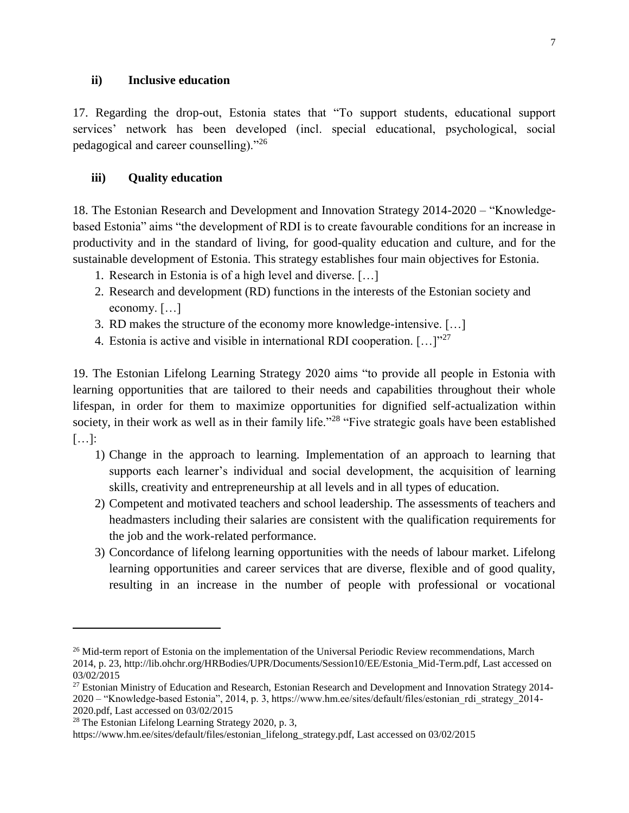#### **ii) Inclusive education**

17. Regarding the drop-out, Estonia states that "To support students, educational support services' network has been developed (incl. special educational, psychological, social pedagogical and career counselling)."<sup>26</sup>

#### **iii) Quality education**

18. The Estonian Research and Development and Innovation Strategy 2014-2020 – "Knowledgebased Estonia" aims "the development of RDI is to create favourable conditions for an increase in productivity and in the standard of living, for good-quality education and culture, and for the sustainable development of Estonia. This strategy establishes four main objectives for Estonia.

- 1. Research in Estonia is of a high level and diverse. […]
- 2. Research and development (RD) functions in the interests of the Estonian society and economy. […]
- 3. RD makes the structure of the economy more knowledge-intensive. […]
- 4. Estonia is active and visible in international RDI cooperation.  $[\dots]^{27}$

19. The Estonian Lifelong Learning Strategy 2020 aims "to provide all people in Estonia with learning opportunities that are tailored to their needs and capabilities throughout their whole lifespan, in order for them to maximize opportunities for dignified self-actualization within society, in their work as well as in their family life."<sup>28</sup> "Five strategic goals have been established […]:

- 1) Change in the approach to learning. Implementation of an approach to learning that supports each learner's individual and social development, the acquisition of learning skills, creativity and entrepreneurship at all levels and in all types of education.
- 2) Competent and motivated teachers and school leadership. The assessments of teachers and headmasters including their salaries are consistent with the qualification requirements for the job and the work-related performance.
- 3) Concordance of lifelong learning opportunities with the needs of labour market. Lifelong learning opportunities and career services that are diverse, flexible and of good quality, resulting in an increase in the number of people with professional or vocational

l

<sup>&</sup>lt;sup>26</sup> Mid-term report of Estonia on the implementation of the Universal Periodic Review recommendations, March 2014, p. 23, http://lib.ohchr.org/HRBodies/UPR/Documents/Session10/EE/Estonia\_Mid-Term.pdf, Last accessed on 03/02/2015

<sup>&</sup>lt;sup>27</sup> Estonian Ministry of Education and Research, Estonian Research and Development and Innovation Strategy 2014-2020 – "Knowledge-based Estonia", 2014, p. 3, https://www.hm.ee/sites/default/files/estonian\_rdi\_strategy\_2014- 2020.pdf, Last accessed on 03/02/2015

<sup>28</sup> The Estonian Lifelong Learning Strategy 2020, p. 3,

https://www.hm.ee/sites/default/files/estonian\_lifelong\_strategy.pdf, Last accessed on 03/02/2015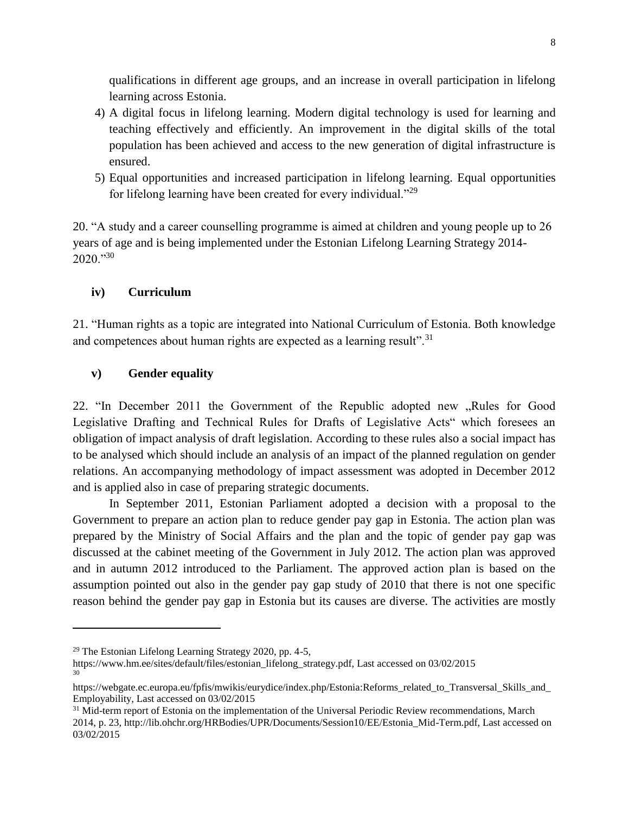qualifications in different age groups, and an increase in overall participation in lifelong learning across Estonia.

- 4) A digital focus in lifelong learning. Modern digital technology is used for learning and teaching effectively and efficiently. An improvement in the digital skills of the total population has been achieved and access to the new generation of digital infrastructure is ensured.
- 5) Equal opportunities and increased participation in lifelong learning. Equal opportunities for lifelong learning have been created for every individual."<sup>29</sup>

20. "A study and a career counselling programme is aimed at children and young people up to 26 years of age and is being implemented under the Estonian Lifelong Learning Strategy 2014-  $2020$ ."30

#### **iv) Curriculum**

21. "Human rights as a topic are integrated into National Curriculum of Estonia. Both knowledge and competences about human rights are expected as a learning result".<sup>31</sup>

#### **v) Gender equality**

22. "In December 2011 the Government of the Republic adopted new "Rules for Good Legislative Drafting and Technical Rules for Drafts of Legislative Acts" which foresees an obligation of impact analysis of draft legislation. According to these rules also a social impact has to be analysed which should include an analysis of an impact of the planned regulation on gender relations. An accompanying methodology of impact assessment was adopted in December 2012 and is applied also in case of preparing strategic documents.

In September 2011, Estonian Parliament adopted a decision with a proposal to the Government to prepare an action plan to reduce gender pay gap in Estonia. The action plan was prepared by the Ministry of Social Affairs and the plan and the topic of gender pay gap was discussed at the cabinet meeting of the Government in July 2012. The action plan was approved and in autumn 2012 introduced to the Parliament. The approved action plan is based on the assumption pointed out also in the gender pay gap study of 2010 that there is not one specific reason behind the gender pay gap in Estonia but its causes are diverse. The activities are mostly

l

<sup>29</sup> The Estonian Lifelong Learning Strategy 2020, pp. 4-5,

https://www.hm.ee/sites/default/files/estonian\_lifelong\_strategy.pdf, Last accessed on 03/02/2015 30

https://webgate.ec.europa.eu/fpfis/mwikis/eurydice/index.php/Estonia:Reforms\_related\_to\_Transversal\_Skills\_and\_ Employability, Last accessed on 03/02/2015

<sup>&</sup>lt;sup>31</sup> Mid-term report of Estonia on the implementation of the Universal Periodic Review recommendations, March 2014, p. 23, http://lib.ohchr.org/HRBodies/UPR/Documents/Session10/EE/Estonia\_Mid-Term.pdf, Last accessed on 03/02/2015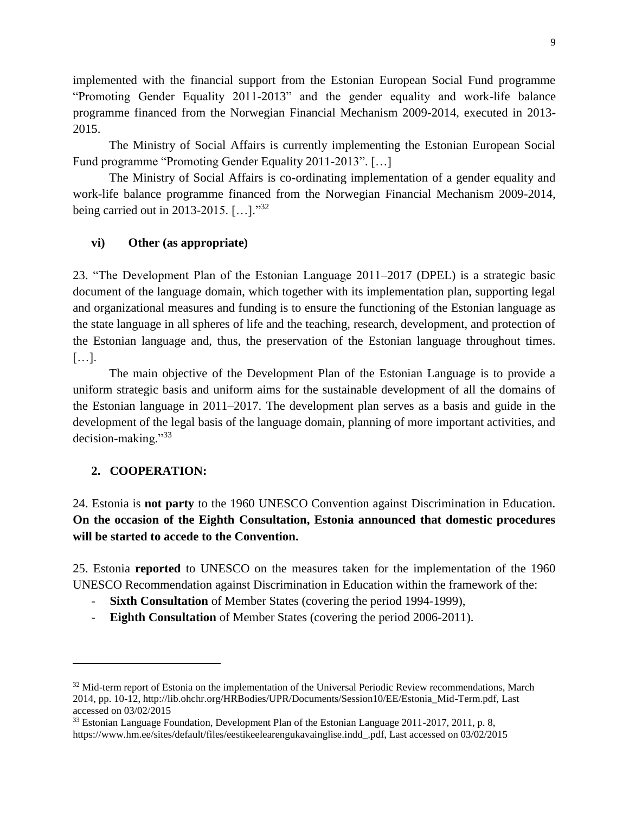implemented with the financial support from the Estonian European Social Fund programme "Promoting Gender Equality 2011-2013" and the gender equality and work-life balance programme financed from the Norwegian Financial Mechanism 2009-2014, executed in 2013- 2015.

The Ministry of Social Affairs is currently implementing the Estonian European Social Fund programme "Promoting Gender Equality 2011-2013". […]

The Ministry of Social Affairs is co-ordinating implementation of a gender equality and work-life balance programme financed from the Norwegian Financial Mechanism 2009-2014, being carried out in 2013-2015. [...]."<sup>32</sup>

#### **vi) Other (as appropriate)**

23. "The Development Plan of the Estonian Language 2011–2017 (DPEL) is a strategic basic document of the language domain, which together with its implementation plan, supporting legal and organizational measures and funding is to ensure the functioning of the Estonian language as the state language in all spheres of life and the teaching, research, development, and protection of the Estonian language and, thus, the preservation of the Estonian language throughout times. […].

The main objective of the Development Plan of the Estonian Language is to provide a uniform strategic basis and uniform aims for the sustainable development of all the domains of the Estonian language in 2011–2017. The development plan serves as a basis and guide in the development of the legal basis of the language domain, planning of more important activities, and decision-making."<sup>33</sup>

#### **2. COOPERATION:**

 $\overline{a}$ 

24. Estonia is **not party** to the 1960 UNESCO Convention against Discrimination in Education. **On the occasion of the Eighth Consultation, Estonia announced that domestic procedures will be started to accede to the Convention.**

25. Estonia **reported** to UNESCO on the measures taken for the implementation of the 1960 UNESCO Recommendation against Discrimination in Education within the framework of the:

- **Sixth Consultation** of Member States (covering the period 1994-1999),
- **Eighth Consultation** of Member States (covering the period 2006-2011).

<sup>&</sup>lt;sup>32</sup> Mid-term report of Estonia on the implementation of the Universal Periodic Review recommendations, March 2014, pp. 10-12, http://lib.ohchr.org/HRBodies/UPR/Documents/Session10/EE/Estonia\_Mid-Term.pdf, Last accessed on 03/02/2015

<sup>&</sup>lt;sup>33</sup> Estonian Language Foundation, Development Plan of the Estonian Language 2011-2017, 2011, p. 8, https://www.hm.ee/sites/default/files/eestikeelearengukavainglise.indd\_.pdf, Last accessed on 03/02/2015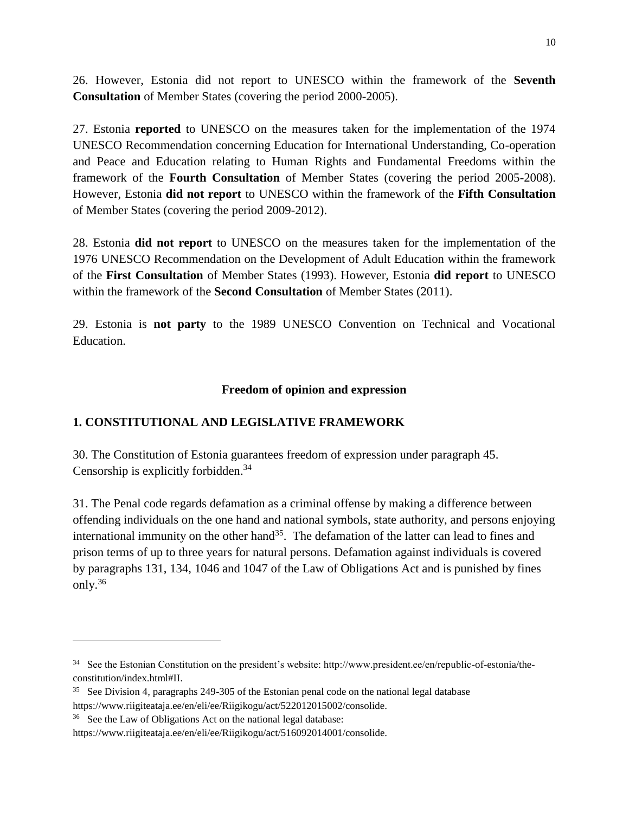26. However, Estonia did not report to UNESCO within the framework of the **Seventh Consultation** of Member States (covering the period 2000-2005).

27. Estonia **reported** to UNESCO on the measures taken for the implementation of the 1974 UNESCO Recommendation concerning Education for International Understanding, Co-operation and Peace and Education relating to Human Rights and Fundamental Freedoms within the framework of the **Fourth Consultation** of Member States (covering the period 2005-2008). However, Estonia **did not report** to UNESCO within the framework of the **Fifth Consultation** of Member States (covering the period 2009-2012).

28. Estonia **did not report** to UNESCO on the measures taken for the implementation of the 1976 UNESCO Recommendation on the Development of Adult Education within the framework of the **First Consultation** of Member States (1993). However, Estonia **did report** to UNESCO within the framework of the **Second Consultation** of Member States (2011).

29. Estonia is **not party** to the 1989 UNESCO Convention on Technical and Vocational Education.

### **Freedom of opinion and expression**

## **1. CONSTITUTIONAL AND LEGISLATIVE FRAMEWORK**

30. The Constitution of Estonia guarantees freedom of expression under paragraph 45. Censorship is explicitly forbidden.<sup>34</sup>

31. The Penal code regards defamation as a criminal offense by making a difference between offending individuals on the one hand and national symbols, state authority, and persons enjoying international immunity on the other hand<sup>35</sup>. The defamation of the latter can lead to fines and prison terms of up to three years for natural persons. Defamation against individuals is covered by paragraphs 131, 134, 1046 and 1047 of the Law of Obligations Act and is punished by fines only. 36

<sup>&</sup>lt;sup>34</sup> See the Estonian Constitution on the president's website: http://www.president.ee/en/republic-of-estonia/theconstitution/index.html#II.

<sup>&</sup>lt;sup>35</sup> See Division 4, paragraphs 249-305 of the Estonian penal code on the national legal database https://www.riigiteataja.ee/en/eli/ee/Riigikogu/act/522012015002/consolide.

<sup>&</sup>lt;sup>36</sup> See the Law of Obligations Act on the national legal database:

https://www.riigiteataja.ee/en/eli/ee/Riigikogu/act/516092014001/consolide.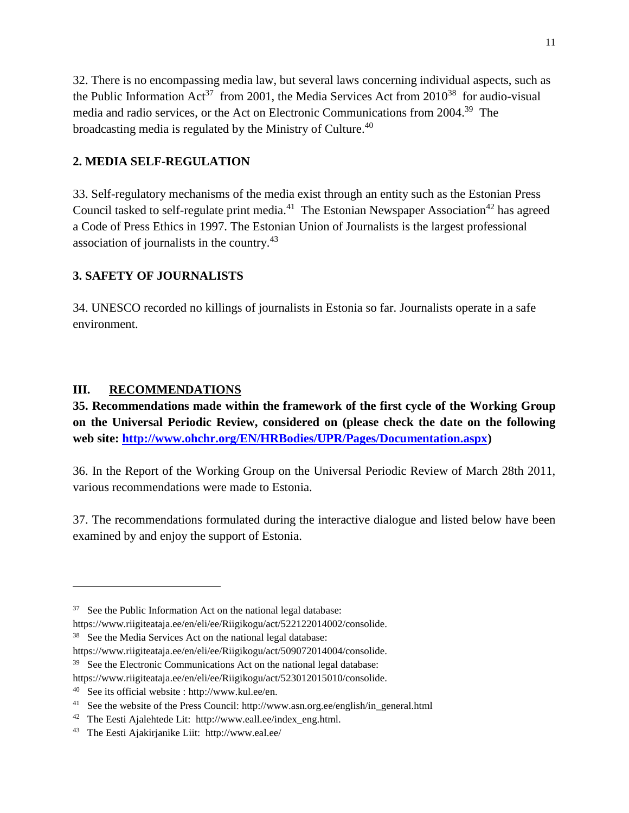32. There is no encompassing media law, but several laws concerning individual aspects, such as the Public Information  $Act^{37}$  from 2001, the Media Services Act from 2010<sup>38</sup> for audio-visual media and radio services, or the Act on Electronic Communications from 2004. 39 The broadcasting media is regulated by the Ministry of Culture.<sup>40</sup>

## **2. MEDIA SELF-REGULATION**

33. Self-regulatory mechanisms of the media exist through an entity such as the Estonian Press Council tasked to self-regulate print media.<sup>41</sup> The Estonian Newspaper Association<sup>42</sup> has agreed a Code of Press Ethics in 1997. The Estonian Union of Journalists is the largest professional association of journalists in the country. 43

### **3. SAFETY OF JOURNALISTS**

34. UNESCO recorded no killings of journalists in Estonia so far. Journalists operate in a safe environment.

### **III. RECOMMENDATIONS**

 $\overline{\phantom{a}}$ 

**35. Recommendations made within the framework of the first cycle of the Working Group on the Universal Periodic Review, considered on (please check the date on the following web site: [http://www.ohchr.org/EN/HRBodies/UPR/Pages/Documentation.aspx\)](http://www.ohchr.org/EN/HRBodies/UPR/Pages/Documentation.aspx)** 

36. In the Report of the Working Group on the Universal Periodic Review of March 28th 2011, various recommendations were made to Estonia.

37. The recommendations formulated during the interactive dialogue and listed below have been examined by and enjoy the support of Estonia.

 $37$  See the Public Information Act on the national legal database:

https://www.riigiteataja.ee/en/eli/ee/Riigikogu/act/522122014002/consolide.

<sup>&</sup>lt;sup>38</sup> See the Media Services Act on the national legal database:

https://www.riigiteataja.ee/en/eli/ee/Riigikogu/act/509072014004/consolide.

<sup>&</sup>lt;sup>39</sup> See the Electronic Communications Act on the national legal database:

https://www.riigiteataja.ee/en/eli/ee/Riigikogu/act/523012015010/consolide.

<sup>40</sup> See its official website : http://www.kul.ee/en.

<sup>&</sup>lt;sup>41</sup> See the website of the Press Council: http://www.asn.org.ee/english/in\_general.html

<sup>&</sup>lt;sup>42</sup> The Eesti Ajalehtede Lit: http://www.eall.ee/index\_eng.html.

<sup>&</sup>lt;sup>43</sup> The Eesti Ajakirjanike Liit: http://www.eal.ee/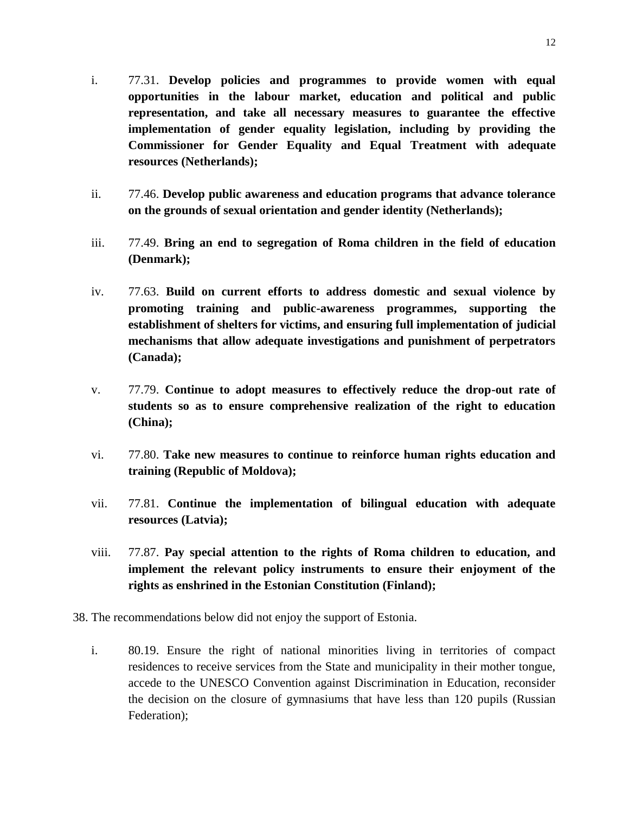- i. 77.31. **Develop policies and programmes to provide women with equal opportunities in the labour market, education and political and public representation, and take all necessary measures to guarantee the effective implementation of gender equality legislation, including by providing the Commissioner for Gender Equality and Equal Treatment with adequate resources (Netherlands);**
- ii. 77.46. **Develop public awareness and education programs that advance tolerance on the grounds of sexual orientation and gender identity (Netherlands);**
- iii. 77.49. **Bring an end to segregation of Roma children in the field of education (Denmark);**
- iv. 77.63. **Build on current efforts to address domestic and sexual violence by promoting training and public-awareness programmes, supporting the establishment of shelters for victims, and ensuring full implementation of judicial mechanisms that allow adequate investigations and punishment of perpetrators (Canada);**
- v. 77.79. **Continue to adopt measures to effectively reduce the drop-out rate of students so as to ensure comprehensive realization of the right to education (China);**
- vi. 77.80. **Take new measures to continue to reinforce human rights education and training (Republic of Moldova);**
- vii. 77.81. **Continue the implementation of bilingual education with adequate resources (Latvia);**
- viii. 77.87. **Pay special attention to the rights of Roma children to education, and implement the relevant policy instruments to ensure their enjoyment of the rights as enshrined in the Estonian Constitution (Finland);**
- 38. The recommendations below did not enjoy the support of Estonia.
	- i. 80.19. Ensure the right of national minorities living in territories of compact residences to receive services from the State and municipality in their mother tongue, accede to the UNESCO Convention against Discrimination in Education, reconsider the decision on the closure of gymnasiums that have less than 120 pupils (Russian Federation);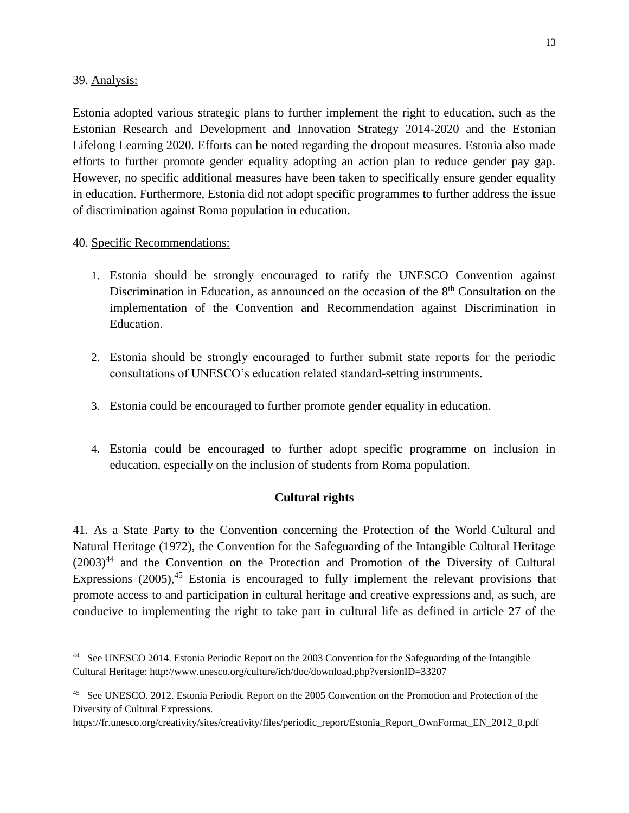#### 39. Analysis:

 $\overline{\phantom{a}}$ 

Estonia adopted various strategic plans to further implement the right to education, such as the Estonian Research and Development and Innovation Strategy 2014-2020 and the Estonian Lifelong Learning 2020. Efforts can be noted regarding the dropout measures. Estonia also made efforts to further promote gender equality adopting an action plan to reduce gender pay gap. However, no specific additional measures have been taken to specifically ensure gender equality in education. Furthermore, Estonia did not adopt specific programmes to further address the issue of discrimination against Roma population in education.

#### 40. Specific Recommendations:

- 1. Estonia should be strongly encouraged to ratify the UNESCO Convention against Discrimination in Education, as announced on the occasion of the  $8<sup>th</sup>$  Consultation on the implementation of the Convention and Recommendation against Discrimination in Education.
- 2. Estonia should be strongly encouraged to further submit state reports for the periodic consultations of UNESCO's education related standard-setting instruments.
- 3. Estonia could be encouraged to further promote gender equality in education.
- 4. Estonia could be encouraged to further adopt specific programme on inclusion in education, especially on the inclusion of students from Roma population.

### **Cultural rights**

41. As a State Party to the Convention concerning the Protection of the World Cultural and Natural Heritage (1972), the Convention for the Safeguarding of the Intangible Cultural Heritage  $(2003)^{44}$  and the Convention on the Protection and Promotion of the Diversity of Cultural Expressions (2005),<sup>45</sup> Estonia is encouraged to fully implement the relevant provisions that promote access to and participation in cultural heritage and creative expressions and, as such, are conducive to implementing the right to take part in cultural life as defined in article 27 of the

<sup>44</sup> See UNESCO 2014. Estonia Periodic Report on the 2003 Convention for the Safeguarding of the Intangible Cultural Heritage: http://www.unesco.org/culture/ich/doc/download.php?versionID=33207

<sup>&</sup>lt;sup>45</sup> See UNESCO. 2012. Estonia Periodic Report on the 2005 Convention on the Promotion and Protection of the Diversity of Cultural Expressions.

https://fr.unesco.org/creativity/sites/creativity/files/periodic\_report/Estonia\_Report\_OwnFormat\_EN\_2012\_0.pdf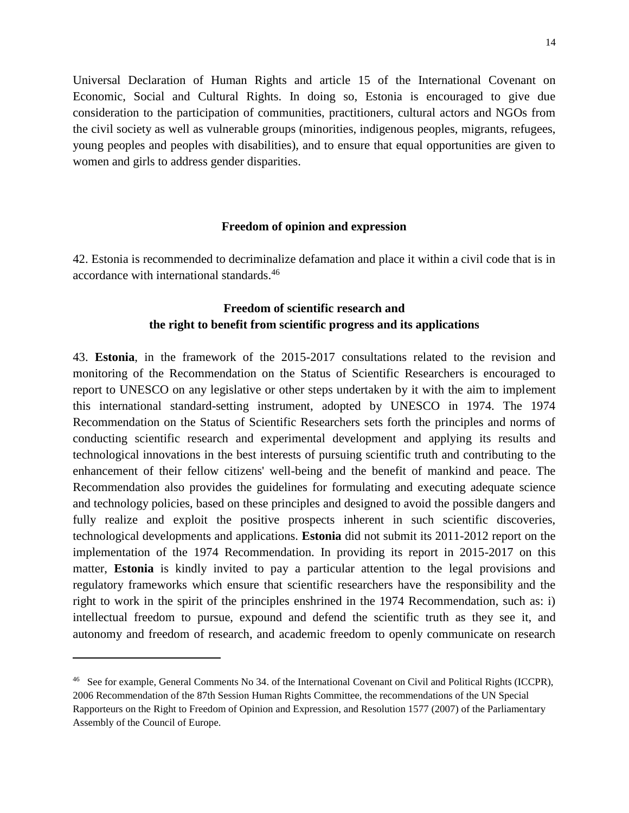Universal Declaration of Human Rights and article 15 of the International Covenant on Economic, Social and Cultural Rights. In doing so, Estonia is encouraged to give due consideration to the participation of communities, practitioners, cultural actors and NGOs from the civil society as well as vulnerable groups (minorities, indigenous peoples, migrants, refugees, young peoples and peoples with disabilities), and to ensure that equal opportunities are given to women and girls to address gender disparities.

#### **Freedom of opinion and expression**

42. Estonia is recommended to decriminalize defamation and place it within a civil code that is in accordance with international standards. 46

### **Freedom of scientific research and the right to benefit from scientific progress and its applications**

43. **Estonia**, in the framework of the 2015-2017 consultations related to the revision and monitoring of the Recommendation on the Status of Scientific Researchers is encouraged to report to UNESCO on any legislative or other steps undertaken by it with the aim to implement this international standard-setting instrument, adopted by UNESCO in 1974. The 1974 Recommendation on the Status of Scientific Researchers sets forth the principles and norms of conducting scientific research and experimental development and applying its results and technological innovations in the best interests of pursuing scientific truth and contributing to the enhancement of their fellow citizens' well-being and the benefit of mankind and peace. The Recommendation also provides the guidelines for formulating and executing adequate science and technology policies, based on these principles and designed to avoid the possible dangers and fully realize and exploit the positive prospects inherent in such scientific discoveries, technological developments and applications. **Estonia** did not submit its 2011-2012 report on the implementation of the 1974 Recommendation. In providing its report in 2015-2017 on this matter, **Estonia** is kindly invited to pay a particular attention to the legal provisions and regulatory frameworks which ensure that scientific researchers have the responsibility and the right to work in the spirit of the principles enshrined in the 1974 Recommendation, such as: i) intellectual freedom to pursue, expound and defend the scientific truth as they see it, and autonomy and freedom of research, and academic freedom to openly communicate on research

<sup>&</sup>lt;sup>46</sup> See for example, General Comments No 34. of the International Covenant on Civil and Political Rights (ICCPR), 2006 Recommendation of the 87th Session Human Rights Committee, the recommendations of the UN Special Rapporteurs on the Right to Freedom of Opinion and Expression, and Resolution 1577 (2007) of the Parliamentary Assembly of the Council of Europe.